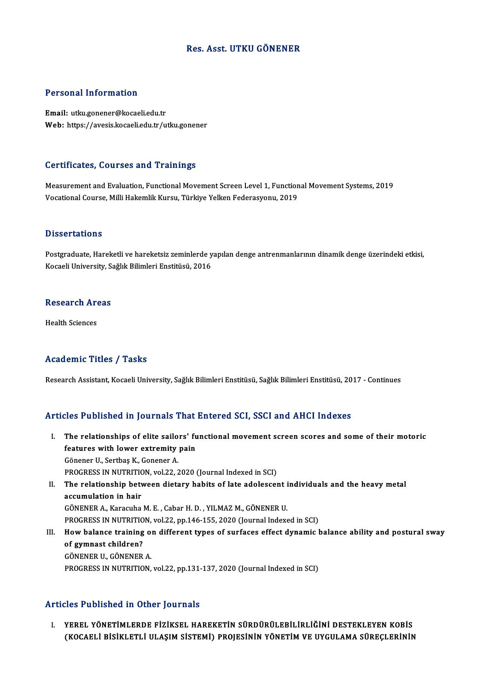## Res. Asst. UTKU GÖNENER

## Personal Information

Email: utku.gonener@kocaeli.edu.tr Web: https://avesis.kocaeli.edu.tr/utku.gonener

## Certificates, Courses and Trainings

Measurement and Evaluation, Functional Movement Screen Level 1, Functional Movement Systems, 2019 Vocational Course, Milli Hakemlik Kursu, Türkiye Yelken Federasyonu, 2019

## **Dissertations**

Dissertations<br>Postgraduate, Hareketli ve hareketsiz zeminlerde yapılan denge antrenmanlarının dinamik denge üzerindeki etkisi,<br>Kogasli University, Sağlık Bilimleri Enstitüsü, 2016 2 15561 tatronis<br>Postgraduate, Hareketli ve hareketsiz zeminlerde y<br>Kocaeli University, Sağlık Bilimleri Enstitüsü, 2016

## Research Areas<br>Research Areas R<mark>esearch Ar</mark><br>Health Sciences

# Academic Titles / Tasks

Research Assistant, Kocaeli University, Sağlık Bilimleri Enstitüsü, Sağlık Bilimleri Enstitüsü, 2017 - Continues

## Articles Published in Journals That Entered SCI, SSCI and AHCI Indexes

- rticles Published in Journals That Entered SCI, SSCI and AHCI Indexes<br>I. The relationships of elite sailors' functional movement screen scores and some of their motoric<br>features with lewer extremity pain The relationships of elite sailors' functions<br>features with lower extremity pain The relationships of elite sailo<br>features with lower extremity<br>Gönener U., Sertbaş K., Gonener A.<br>PROCRESS IN NUTRETION vol 22.5 features with lower extremity pain<br>Gönener U., Sertbaş K., Gonener A.<br>PROGRESS IN NUTRITION, vol.22, 2020 (Journal Indexed in SCI) Gönener U., Sertbaş K., Gonener A.<br>PROGRESS IN NUTRITION, vol.22, 2020 (Journal Indexed in SCI)<br>II. The relationship between dietary habits of late adolescent individuals and the heavy metal<br>assumulation in hair
- PROGRESS IN NUTRITION<br>The relationship betweed<br>accumulation in hair The relationship between dietary habits of late adolescent i<br>accumulation in hair<br>GÖNENER A., Karacuha M. E. , Cabar H. D. , YILMAZ M., GÖNENER U.<br>PROCRESS IN NUTRITION vol 22. pp.146.155.2020 (Journal Indove accumulation in hair<br>GÖNENER A., Karacuha M. E. , Cabar H. D. , YILMAZ M., GÖNENER U.<br>PROGRESS IN NUTRITION, vol.22, pp.146-155, 2020 (Journal Indexed in SCI) GÖNENER A., Karacuha M. E. , Cabar H. D. , YILMAZ M., GÖNENER U.<br>PROGRESS IN NUTRITION, vol.22, pp.146-155, 2020 (Journal Indexed in SCI)<br>III. How balance training on different types of surfaces effect dynamic balance abil

## PROGRESS IN NUTRITIO<br>How balance training<br>of gymnast children?<br>CÖNENEP U. CÖNENEP How balance training of<br>of gymnast children?<br>GÖNENER U., GÖNENER A.<br>PROCRESS IN NUTRITION of gymnast children?<br>GÖNENER U., GÖNENER A.<br>PROGRESS IN NUTRITION, vol.22, pp.131-137, 2020 (Journal Indexed in SCI)

#### Articles Published in Other Journals

I. YEREL YÖNETİMLERDE FIZIKSEL HAREKETIN SÜRDÜRÜLEBILIRLIĞINI DESTEKLEYEN KOBIS<br>I. YEREL YÖNETIMLERDE FIZIKSEL HAREKETIN SÜRDÜRÜLEBILIRLIĞINI DESTEKLEYEN KOBIS<br>CEOCAELI RISIKLETLI III ASIM SİSTEMİ) PROJESININ YÖNETIM VE UY (KOCA EDIRMEN II OTICI JOHTINI)<br>YEREL YÖNETİMLERDE FİZİKSEL HAREKETİN SÜRDÜRÜLEBİLİRLİĞİNİ DESTEKLEYEN KOBİS<br>(KOCAELİ BİSİKLETLİ ULAŞIM SİSTEMİ) PROJESİNİN YÖNETİM VE UYGULAMA SÜREÇLERİNİN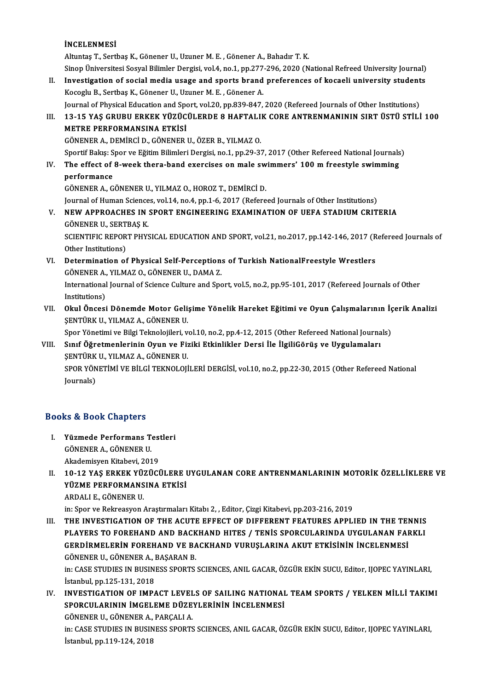İNCELENMESİ Altuntaş T., Sertbaş K., Gönener U., Uzuner M. E., Gönener A., Bahadır T. K. Sinop Üniversitesi Sosyal Bilimler Dergisi, vol.4, no.1, pp.277-296, 2020 (National Refreed University Journal) Altuntaş T., Sertbaş K., Gönener U., Uzuner M. E. , Gönener A., Bahadır T. K.<br>Sinop Üniversitesi Sosyal Bilimler Dergisi, vol.4, no.1, pp.277-296, 2020 (National Refreed University Journal)<br>II. Investigation of social medi Sinop Üniversitesi Sosyal Bilimler Dergisi, vol.4, no.1, pp.277<br>Investigation of social media usage and sports brand<br>Kocoglu B., Sertbaş K., Gönener U., Uzuner M. E. , Gönener A.<br>Journal of Physical Education and Sport vol Investigation of social media usage and sports brand preferences of kocaeli university student<br>Kocoglu B., Sertbaş K., Gönener U., Uzuner M. E. , Gönener A.<br>Journal of Physical Education and Sport, vol.20, pp.839-847, 2020 Kocoglu B., Sertbaş K., Gönener U., Uzuner M. E. , Gönener A.<br>Journal of Physical Education and Sport, vol.20, pp.839-847, 2020 (Refereed Journals of Other Institutions)<br>III. 13-15 YAŞ GRUBU ERKEK YÜZÜCÜLERDE 8 HAFTALIK CO Journal of Physical Education and Spo<br>13-15 YAŞ GRUBU ERKEK YÜZÜC<br>METRE PERFORMANSINA ETKİSİ<br>CÖNENEP A DEMİRCİ D. CÖNENEP 13-15 YAŞ GRUBU ERKEK YÜZÜCÜLERDE 8 HAFTALI<br>METRE PERFORMANSINA ETKİSİ<br>GÖNENER A., DEMİRCİ D., GÖNENER U., ÖZER B., YILMAZ O.<br>Spertif Balası Sper ve Fğitim Bilimleri Dergisi, po 1, pp.29.2. METRE PERFORMANSINA ETKİSİ<br>GÖNENER A., DEMİRCİ D., GÖNENER U., ÖZER B., YILMAZ O.<br>Sportif Bakış: Spor ve Eğitim Bilimleri Dergisi, no.1, pp.29-37, 2017 (Other Refereed National Journals) GÖNENER A., DEMİRCİ D., GÖNENER U., ÖZER B., YILMAZ O.<br>Sportif Bakış: Spor ve Eğitim Bilimleri Dergisi, no.1, pp.29-37, 2017 (Other Refereed National Journals<br>IV. The effect of 8-week thera-band exercises on male swimmers' Sportif Bakış: S<br><mark>The effect of</mark><br>performance<br>CÖNENER A. C The effect of 8-week thera-band exercises on male sw<br>performance<br>GÖNENER A., GÖNENER U., YILMAZ O., HOROZ T., DEMİRCİ D.<br>Journal of Human Sciences vol.14, no.4, nn.1, 6, 2017 (Before performance<br>GÖNENER A., GÖNENER U., YILMAZ O., HOROZ T., DEMİRCİ D.<br>Journal of Human Sciences, vol.14, no.4, pp.1-6, 2017 (Refereed Journals of Other Institutions)<br>NEW ARROACHES IN SPORT ENCINEERING EXAMINATION OF HEEA STA GÖNENER A., GÖNENER U., YILMAZ O., HOROZ T., DEMIRCI D.<br>Journal of Human Sciences, vol.14, no.4, pp.1-6, 2017 (Refereed Journals of Other Institutions)<br>V. NEW APPROACHES IN SPORT ENGINEERING EXAMINATION OF UEFA STADIUM CRI **Journal of Human Science<br>NEW APPROACHES IN:<br>GÖNENER U., SERTBAŞ K.<br>SCIENTIEIC PEPOPT PUVS** NEW APPROACHES IN SPORT ENGINEERING EXAMINATION OF UEFA STADIUM CRITERIA<br>GÖNENER U., SERTBAŞ K.<br>SCIENTIFIC REPORT PHYSICAL EDUCATION AND SPORT, vol.21, no.2017, pp.142-146, 2017 (Refereed Journals of<br>Other Institutione) GÖNENER U., SERT<br>SCIENTIFIC REPOR<br>Other Institutions)<br>Determination of SCIENTIFIC REPORT PHYSICAL EDUCATION AND SPORT, vol.21, no.2017, pp.142-146, 2017 (R<br>Other Institutions)<br>VI. Determination of Physical Self-Perceptions of Turkish NationalFreestyle Wrestlers<br>GÖNENER A VILMAZ O GÖNENER IL R Other Institutions)<br>Determination of Physical Self-Perception:<br>GÖNENER A., YILMAZ O., GÖNENER U., DAMA Z.<br>International Journal of Science Gulture and Spe International Journal of Science Culture and Sport, vol.5, no.2, pp.95-101, 2017 (Refereed Journals of Other Institutions) GÖNENER A., YILMAZ O., GÖNENER U., DAMA Z. International Journal of Science Culture and Sport, vol.5, no.2, pp.95-101, 2017 (Refereed Journals of Other<br>Institutions)<br>VII. Okul Öncesi Dönemde Motor Gelişime Yönelik Hareket Eğitimi ve Oyun Çalışmalarının İçerik Anali Institutions)<br>Okul Öncesi Dönemde Motor Geli:<br>ŞENTÜRK U., YILMAZ A., GÖNENER U.<br>Sper Vänetimi ve Bilgi Telmelejileri, v Okul Öncesi Dönemde Motor Gelişime Yönelik Hareket Eğitimi ve Oyun Çalışmalarının İç<br>ŞENTÜRK U., YILMAZ A., GÖNENER U.<br>Spor Yönetimi ve Bilgi Teknolojileri, vol.10, no.2, pp.4-12, 2015 (Other Refereed National Journals)<br>Sı ŞENTÜRK U., YILMAZ A., GÖNENER U.<br>Spor Yönetimi ve Bilgi Teknolojileri, vol.10, no.2, pp.4-12, 2015 (Other Refereed National Journa<br>VIII. Sınıf Öğretmenlerinin Oyun ve Fiziki Etkinlikler Dersi İle İlgiliGörüş ve Uygulamala Spor Yönetimi ve Bilgi Teknolojileri, v<br>Sınıf <mark>Öğretmenlerinin Oyun ve Fiz</mark><br>ŞENTÜRK U., YILMAZ A., GÖNENER U.<br>SPOP YÖNETİMİ VE PİL Cİ TEKNOLOJİ Sınıf Öğretmenlerinin Oyun ve Fiziki Etkinlikler Dersi İle İlgiliGörüş ve Uygulamaları<br>ŞENTÜRK U., YILMAZ A., GÖNENER U.<br>SPOR YÖNETİMİ VE BİLGİ TEKNOLOJİLERİ DERGİSİ, vol.10, no.2, pp.22-30, 2015 (Other Refereed National<br>J ŞENTÜRK<br>SPOR YÖN<br>Journals)

## Journals)<br>Books & Book Chapters

- I. Yüzmede Performans Testleri SU & BUOK UNAPTERS<br>Füzmede Performans T<br>GÖNENER A., GÖNENER U.<br>Akademissen Kitabesi 201 Yüzmede Performans Test<br>GÖNENER A., GÖNENER U.<br>Akademisyen Kitabevi, 2019<br>10 12 YAS EPKEK VÜZÜCİ
- Akademisyen Kitabevi, 2019<br>II. 10-12 YAS ERKEK YÜZÜCÜLERE UYGULANAN CORE ANTRENMANLARININ MOTORİK ÖZELLİKLERE VE YÜZME PERFORMANSINA ETKİSİ ARDALIE.,GÖNENERU.

in: Spor ve Rekreasyon Araştırmaları Kitabı 2, , Editor, Çizgi Kitabevi, pp.203-216, 2019

III. THE INVESTIGATION OF THE ACUTE EFFECT OF DIFFERENT FEATURES APPLIED IN THE TENNIS in: Spor ve Rekreasyon Araştırmaları Kitabı 2, , Editor, Çizgi Kitabevi, pp.203-216, 2019<br>THE INVESTIGATION OF THE ACUTE EFFECT OF DIFFERENT FEATURES APPLIED IN THE TENNIS<br>PLAYERS TO FOREHAND AND BACKHAND HITES / TENİS SPO THE INVESTIGATION OF THE ACUTE EFFECT OF DIFFERENT FEATURES APPLIED IN THE TEI<br>PLAYERS TO FOREHAND AND BACKHAND HITES / TENİS SPORCULARINDA UYGULANAN FAI<br>GERDİRMELERİN FOREHAND VE BACKHAND VURUŞLARINA AKUT ETKİSİNİN İNCELE PLAYERS TO FOREHAND AND BACK<br>GERDİRMELERİN FOREHAND VE BA<br>GÖNENER U., GÖNENER A., BAŞARAN B.<br>in: CASE STUDIES IN BUSINESS SPOPTS. GERDİRMELERİN FOREHAND VE BACKHAND VURUŞLARINA AKUT ETKİSİNİN İNCELENMESİ<br>GÖNENER U., GÖNENER A., BAŞARAN B.<br>in: CASE STUDIES IN BUSINESS SPORTS SCIENCES, ANIL GACAR, ÖZGÜR EKİN SUCU, Editor, IJOPEC YAYINLARI,<br>İstanbul an

GÖNENER U., GÖNENER A., 1<br>in: CASE STUDIES IN BUSIN<br>İstanbul, pp.125-131, 2018<br>INVESTIC ATION OF IMBA In: CASE STUDIES IN BUSINESS SPORTS SCIENCES, ANIL GACAR, ÖZGÜR EKİN SUCU, Editor, IJOPEC YAYINLARI,<br>İstanbul, pp.125-131, 2018<br>IV. INVESTIGATION OF IMPACT LEVELS OF SAILING NATIONAL TEAM SPORTS / YELKEN MİLLİ TAKIMI

İstanbul, pp.125-131, 2018<br>INVESTIGATION OF IMPACT LEVELS OF SAILING NATIONAI<br>SPORCULARININ İMGELEME DÜZEYLERİNİN İNCELENMESİ<br>CÖNENER IL GÖNENER A. PARCALLA INVESTIGATION OF IMPACT LEVEL<br>SPORCULARININ İMGELEME DÜZE<br>GÖNENER U., GÖNENER A., PARÇALI A.<br>in: CASE STUDIES IN BUSINESS SPOPTS

GÖNENER U., GÖNENER A., PARCALI A.

SPORCULARININ İMGELEME DÜZEYLERİNIN İNCELENMESI<br>GÖNENER U., GÖNENER A., PARÇALI A.<br>in: CASE STUDIES IN BUSINESS SPORTS SCIENCES, ANIL GACAR, ÖZGÜR EKİN SUCU, Editor, IJOPEC YAYINLARI,<br>İstanbul, pp.119-124, 2018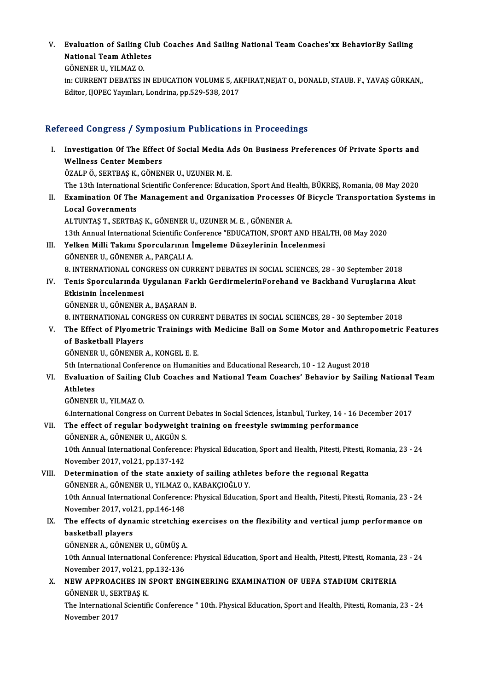V. Evaluation of Sailing Club Coaches And Sailing National TeamCoaches'xx BehaviorBy Sailing Evaluation of Sailing Clu<br>National Team Athletes<br>CÖNENER U. VU MAZ O National Team Athletes<br>GÖNENER U., YILMAZ O.

National Team Athletes<br>GÖNENER U., YILMAZ O.<br>in: CURRENT DEBATES IN EDUCATION VOLUME 5, AKFIRAT,NEJAT O., DONALD, STAUB. F., YAVAŞ GÜRKAN,,<br>Editer HOBEC Younları Landrina an 539, 538, 2017 GÖNENER U., YILMAZ O.<br>in: CURRENT DEBATES IN EDUCATION VOLUME 5, AK<br>Editor, IJOPEC Yayınları, Londrina, pp.529-538, 2017

# Editor, IJOPEC Yayınları, Londrina, pp.529-538, 2017<br>Refereed Congress / Symposium Publications in Proceedings

efereed Congress / Symposium Publications in Proceedings<br>I. Investigation Of The Effect Of Social Media Ads On Business Preferences Of Private Sports and<br>Wellness Conter Members Investigation of The Effect<br>Mellness Center Members<br>ÖZALPÖ SERTRAS K. CÖNEN Investigation Of The Effect Of Social Media A<br>Wellness Center Members<br>ÖZALP Ö., SERTBAŞ K., GÖNENER U., UZUNER M. E.<br>The 12th International Scientific Conference: Educe Wellness Center Members<br>ÖZALP Ö., SERTBAŞ K., GÖNENER U., UZUNER M. E.<br>The 13th International Scientific Conference: Education, Sport And Health, BÜKREŞ, Romania, 08 May 2020<br>Examination Of The Management and Organization ÖZALP Ö., SERTBAŞ K., GÖNENER U., UZUNER M. E.<br>The 13th International Scientific Conference: Education, Sport And Health, BÜKREŞ, Romania, 08 May 2020<br>II. Examination Of The Management and Organization Processes Of Bicycle The 13th International<br>Examination Of The<br>Local Governments<br>ALTUNTAS T. SEPTPA ALTUNTAŞT.,SERTBAŞK.,GÖNENERU.,UZUNERM.E. ,GÖNENERA. 13th Annual International Scientific Conference "EDUCATION, SPORT AND HEALTH, 08 May 2020 ALTUNTAŞ T., SERTBAŞ K., GÖNENER U., UZUNER M. E. , GÖNENER A.<br>13th Annual International Scientific Conference "EDUCATION, SPORT AND HEA<br>III. Yelken Milli Takımı Sporcularının İmgeleme Düzeylerinin İncelenmesi 13th Annual International Scientific Com<br>**Yelken Milli Takımı Sporcularının İ**<br>GÖNENER U., GÖNENER A., PARÇALI A.<br>8. INTERNATIONAL CONCRESS ON CUP GÖNENER U., GÖNENER A., PARÇALI A.<br>8. INTERNATIONAL CONGRESS ON CURRENT DEBATES IN SOCIAL SCIENCES, 28 - 30 September 2018 GÖNENER U., GÖNENER A., PARÇALI A.<br>8. INTERNATIONAL CONGRESS ON CURRENT DEBATES IN SOCIAL SCIENCES, 28 - 30 September 2018<br>IV. Tenis Sporcularında Uygulanan Farklı GerdirmelerinForehand ve Backhand Vuruşlarına Akut<br>Etk 8. INTERNATIONAL CON<br>Tenis Sporcularında I<br>Etkisinin İncelenmesi<br>CÖNENER IL CÖNENER Tenis Sporcularında Uygulanan Far<br>Etkisinin İncelenmesi<br>GÖNENER U., GÖNENER A., BAŞARAN B.<br>9. INTERNATIONAL CONCRESS ON CURI Etkisinin İncelenmesi<br>GÖNENER U., GÖNENER A., BAŞARAN B.<br>8. INTERNATIONAL CONGRESS ON CURRENT DEBATES IN SOCIAL SCIENCES, 28 - 30 September 2018<br>The Effect of Plyometric Trainings with Medicine Pall on Some Meter and Anthr GÖNENER U., GÖNENER A., BAŞARAN B.<br>8. INTERNATIONAL CONGRESS ON CURRENT DEBATES IN SOCIAL SCIENCES, 28 - 30 September 2018<br>7. The Effect of Plyometric Trainings with Medicine Ball on Some Motor and Anthropometric Features<br> **8. INTERNATIONAL CON<br>The Effect of Plyomet<br>of Basketball Players<br>CÖNENER U. CÖNENER** GÖNENERU.,GÖNENERA.,KONGEL E.E. 5th International Conference on Humanities and Educational Research, 10 - 12 August 2018 GÖNENER U., GÖNENER A., KONGEL E. E.<br>5th International Conference on Humanities and Educational Research, 10 - 12 August 2018<br>VI. Evaluation of Sailing Club Coaches and National Team Coaches' Behavior by Sailing Nation **5th Intern<br>Evaluatio<br>Athletes<br>CÖNENER** Evaluation of Sailing<br>Athletes<br>GÖNENER U., YILMAZ O.<br>6 International Congress 6.<br>19. GÖNENER U., YILMAZ O.<br>6.International Congress on Current Debates in Social Sciences, İstanbul, Turkey, 14 - 16 December 2017 GÖNENER U., YILMAZ O.<br>6.International Congress on Current Debates in Social Sciences, İstanbul, Turkey, 14 - 16 I<br>VII. The effect of regular bodyweight training on freestyle swimming performance<br>CÖNENER A. CÖNENER II. AKÇÜ 6.International Congress on Current<br>The effect of regular bodyweight<br>GÖNENER A., GÖNENER U., AKGÜN S.<br>10th Annual International Conference The effect of regular bodyweight training on freestyle swimming performance<br>GÖNENER A., GÖNENER U., AKGÜN S.<br>10th Annual International Conference: Physical Education, Sport and Health, Pitesti, Pitesti, Romania, 23 - 24<br>Na GÖNENER A., GÖNENER U., AKGÜN S.<br>10th Annual International Conferenc<br>November 2017, vol.21, pp.137-142<br>Determination of the state anxie 10th Annual International Conference: Physical Education, Sport and Health, Pitesti, Pitesti, R<br>November 2017, vol.21, pp.137-142<br>VIII. Determination of the state anxiety of sailing athletes before the regional Regatta<br>CÖN November 2017, vol.21, pp.137-142<br>Determination of the state anxiety of sailing athletes before the regional Regatta<br>GÖNENER A., GÖNENER U., YILMAZ O., KABAKÇIOĞLU Y. Determination of the state anxiety of sailing athletes before the regional Regatta<br>GÖNENER A., GÖNENER U., YILMAZ O., KABAKÇIOĞLU Y.<br>10th Annual International Conference: Physical Education, Sport and Health, Pitesti, Pite GÖNENER A., GÖNENER U., YILMAZ C<br>10th Annual International Conferenc<br>November 2017, vol.21, pp.146-148<br>The effects of dynamis stratshing 10th Annual International Conference: Physical Education, Sport and Health, Pitesti, Pitesti, Romania, 23 - 24<br>November 2017, vol.21, pp.146-148<br>IX. The effects of dynamic stretching exercises on the flexibility and vertic November 2017, vol.<br>The effects of dyna<br>basketball players The effects of dynamic stretching<br>basketball players<br>GÖNENER A., GÖNENER U., GÜMÜŞ A.<br>10th Annual International Conference basketball players<br>GÖNENER A., GÖNENER U., GÜMÜŞ A.<br>10th Annual International Conference: Physical Education, Sport and Health, Pitesti, Pitesti, Romania, 23 - 24 GÖNENER A., GÖNENER U., GÜMÜŞ A.<br>10th Annual International Conference<br>November 2017, vol.21, pp.132-136<br>NEW APPROACHES IN SPORT EN 10th Annual International Conference: Physical Education, Sport and Health, Pitesti, Pitesti, Romania,<br>November 2017, vol.21, pp.132-136<br>X. NEW APPROACHES IN SPORT ENGINEERING EXAMINATION OF UEFA STADIUM CRITERIA November 2017, vol.21, pp.132-136<br>NEW APPROACHES IN SPORT ENGINEERING EXAMINATION OF UEFA STADIUM CRITERIA<br>GÖNENER U., SERTBAS K. NEW APPROACHES IN SPORT ENGINEERING EXAMINATION OF UEFA STADIUM CRITERIA<br>GÖNENER U., SERTBAŞ K.<br>The International Scientific Conference " 10th. Physical Education, Sport and Health, Pitesti, Romania, 23 - 24<br>Navambar 2017 GÖNENER U., SE<br>The Internation:<br>November 2017